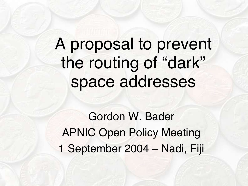A proposal to prevent the routing of "dark" space addresses

Gordon W. Bader APNIC Open Policy Meeting 1 September 2004 – Nadi, Fiji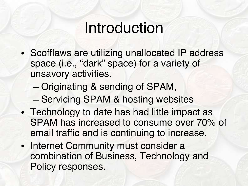### Introduction

- Scofflaws are utilizing unallocated IP address space (i.e., "dark" space) for a variety of unsavory activities.
	- Originating & sending of SPAM,
	- Servicing SPAM & hosting websites
- Technology to date has had little impact as SPAM has increased to consume over 70% of email traffic and is continuing to increase.
- Internet Community must consider a combination of Business, Technology and Policy responses.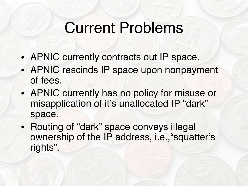## Current Problems

- APNIC currently contracts out IP space.
- APNIC rescinds IP space upon nonpayment of fees.
- APNIC currently has no policy for misuse or misapplication of it's unallocated IP "dark" space.
- Routing of "dark" space conveys illegal ownership of the IP address, i.e.,"squatter's rights".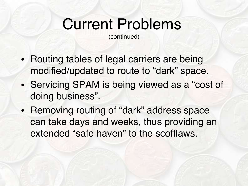# Current Problems

(continued)

- Routing tables of legal carriers are being modified/updated to route to "dark" space.
- Servicing SPAM is being viewed as a "cost of doing business".
- Removing routing of "dark" address space can take days and weeks, thus providing an extended "safe haven" to the scofflaws.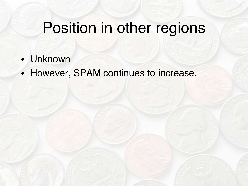## Position in other regions

- Unknown
- However, SPAM continues to increase.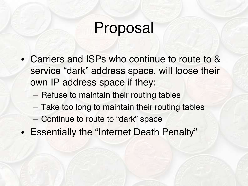## Proposal

- Carriers and ISPs who continue to route to & service "dark" address space, will loose their own IP address space if they:
	- Refuse to maintain their routing tables
	- Take too long to maintain their routing tables
	- Continue to route to "dark" space
- Essentially the "Internet Death Penalty"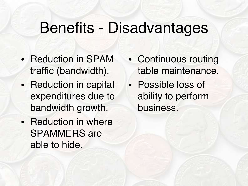### Benefits - Disadvantages

- Reduction in SPAM traffic (bandwidth).
- Reduction in capital expenditures due to bandwidth growth.
- Reduction in where SPAMMERS are able to hide.
- Continuous routing table maintenance.
- Possible loss of ability to perform business.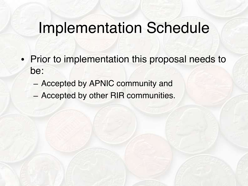### Implementation Schedule

- Prior to implementation this proposal needs to be:
	- Accepted by APNIC community and
	- Accepted by other RIR communities.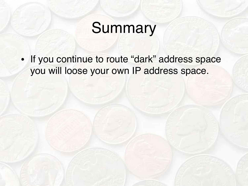# **Summary**

• If you continue to route "dark" address space you will loose your own IP address space.